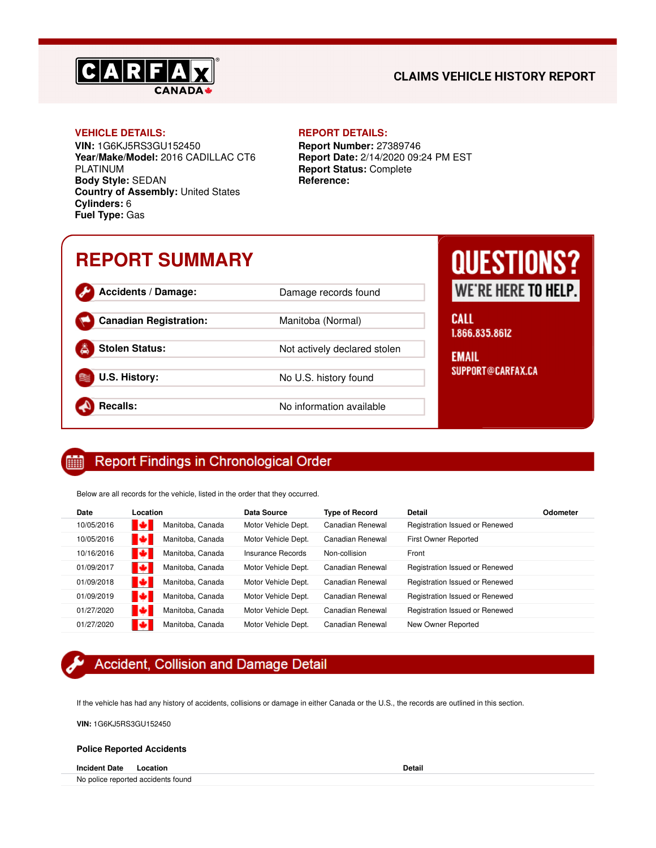

## **CLAIMS VEHICLE HISTORY REPORT**

**VIN:** 1G6KJ5RS3GU152450 **Year/Make/Model:** 2016 CADILLAC CT6 PLATINUM **Body Style:** SEDAN **Country of Assembly:** United States **Cylinders:** 6 **Fuel Type:** Gas

#### **VEHICLE DETAILS: REPORT DETAILS:**

**Report Number:** 27389746 **Report Date:** 2/14/2020 09:24 PM EST **Report Status:** Complete **Reference:**

# **REPORT SUMMARY**

Accidents / Damage: Damage records found

**Canadian Registration:** Manitoba (Normal)

**Stolen Status:** Not actively declared stolen

**U.S. History:** No U.S. history found

**Recalls:** No information available

# **QUESTIONS?** WE'RE HERE TO HELP.

**CALL** 1.866.835.8612

**EMAIL** SUPPORT@CARFAX.CA

#### **Report Findings in Chronological Order** 酾

Below are all records for the vehicle, listed in the order that they occurred.

| Date       | Location               | Data Source         | <b>Type of Record</b> | Detail                         | Odometer |
|------------|------------------------|---------------------|-----------------------|--------------------------------|----------|
| 10/05/2016 | м<br>Manitoba, Canada  | Motor Vehicle Dept. | Canadian Renewal      | Registration Issued or Renewed |          |
| 10/05/2016 | ø<br>Manitoba, Canada  | Motor Vehicle Dept. | Canadian Renewal      | First Owner Reported           |          |
| 10/16/2016 | м<br>Manitoba, Canada  | Insurance Records   | Non-collision         | Front                          |          |
| 01/09/2017 | Т÷<br>Manitoba, Canada | Motor Vehicle Dept. | Canadian Renewal      | Registration Issued or Renewed |          |
| 01/09/2018 | Manitoba, Canada       | Motor Vehicle Dept. | Canadian Renewal      | Registration Issued or Renewed |          |
| 01/09/2019 | Е<br>Manitoba, Canada  | Motor Vehicle Dept. | Canadian Renewal      | Registration Issued or Renewed |          |
| 01/27/2020 | Е<br>Manitoba, Canada  | Motor Vehicle Dept. | Canadian Renewal      | Registration Issued or Renewed |          |
| 01/27/2020 | Manitoba, Canada       | Motor Vehicle Dept. | Canadian Renewal      | New Owner Reported             |          |

## **Accident, Collision and Damage Detail**

If the vehicle has had any history of accidents, collisions or damage in either Canada or the U.S., the records are outlined in this section.

**VIN:** 1G6KJ5RS3GU152450

### **Police Reported Accidents**

**Incident Date Location Detail**

No police reported accidents found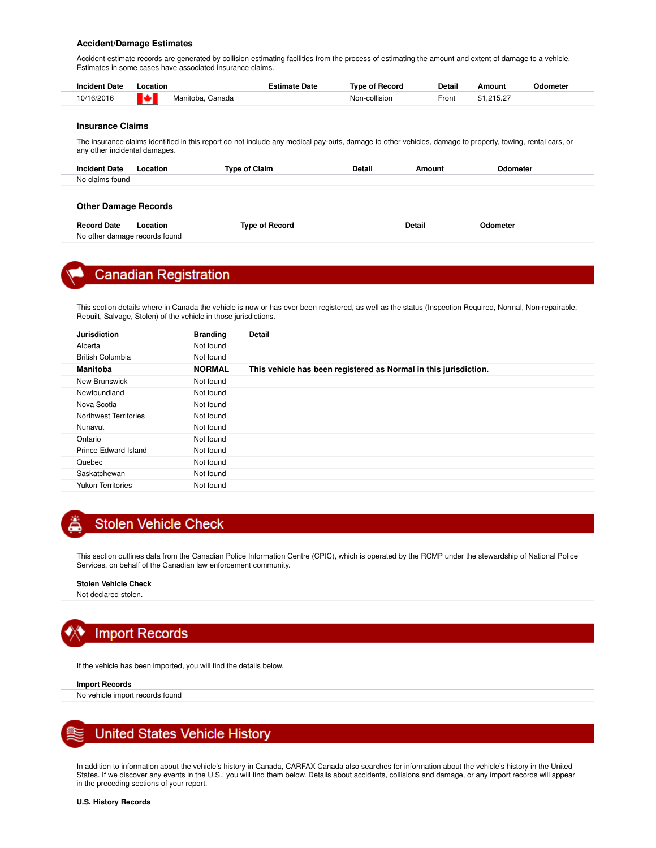#### **Accident/Damage Estimates**

Accident estimate records are generated by collision estimating facilities from the process of estimating the amount and extent of damage to a vehicle. Estimates in some cases have associated insurance claims.

| <b>Incident Date</b> | .ocation                  | Estimate Date | Tvpe of Record | <b>Detail</b> | Amount     | Odometer |
|----------------------|---------------------------|---------------|----------------|---------------|------------|----------|
| 10/16/2016           | l sul<br>Manitoba, Canada |               | Non-collision  | Front         | \$1.215.27 |          |

#### **Insurance Claims**

No other damage records found

The insurance claims identified in this report do not include any medical pay-outs, damage to other vehicles, damage to property, towing, rental cars, or any other incidental damages.

| <b>Incident Date</b><br>Location | <b>Type of Claim</b>  | <b>Detail</b><br>Amount | Odometer |  |
|----------------------------------|-----------------------|-------------------------|----------|--|
| No claims found                  |                       |                         |          |  |
|                                  |                       |                         |          |  |
| <b>Other Damage Records</b>      |                       |                         |          |  |
| <b>Record Date</b><br>Location   | <b>Type of Record</b> | <b>Detail</b>           | Odometer |  |



## **Canadian Registration**

This section details where in Canada the vehicle is now or has ever been registered, as well as the status (Inspection Required, Normal, Non-repairable, Rebuilt, Salvage, Stolen) of the vehicle in those jurisdictions.

| <b>Jurisdiction</b>      | <b>Branding</b> | <b>Detail</b>                                                    |
|--------------------------|-----------------|------------------------------------------------------------------|
| Alberta                  | Not found       |                                                                  |
| <b>British Columbia</b>  | Not found       |                                                                  |
| <b>Manitoba</b>          | <b>NORMAL</b>   | This vehicle has been registered as Normal in this jurisdiction. |
| New Brunswick            | Not found       |                                                                  |
| Newfoundland             | Not found       |                                                                  |
| Nova Scotia              | Not found       |                                                                  |
| Northwest Territories    | Not found       |                                                                  |
| Nunavut                  | Not found       |                                                                  |
| Ontario                  | Not found       |                                                                  |
| Prince Edward Island     | Not found       |                                                                  |
| Quebec                   | Not found       |                                                                  |
| Saskatchewan             | Not found       |                                                                  |
| <b>Yukon Territories</b> | Not found       |                                                                  |
|                          |                 |                                                                  |

## **Stolen Vehicle Check**

This section outlines data from the Canadian Police Information Centre (CPIC), which is operated by the RCMP under the stewardship of National Police Services, on behalf of the Canadian law enforcement community.

#### **Stolen Vehicle Check**

Not declared stolen.



If the vehicle has been imported, you will find the details below.

#### **Import Records**

No vehicle import records found



In addition to information about the vehicle's history in Canada, CARFAX Canada also searches for information about the vehicle's history in the United States. If we discover any events in the U.S., you will find them below. Details about accidents, collisions and damage, or any import records will appear in the preceding sections of your report.